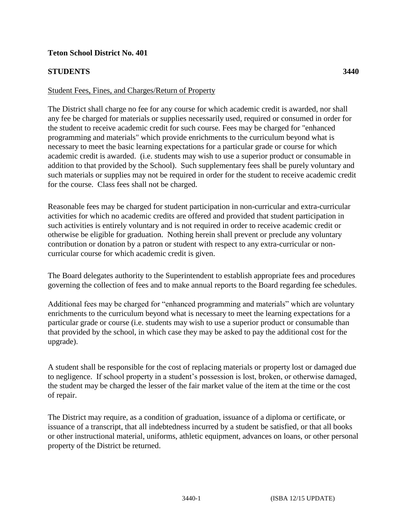## **Teton School District No. 401**

## **STUDENTS 3440**

## Student Fees, Fines, and Charges/Return of Property

The District shall charge no fee for any course for which academic credit is awarded, nor shall any fee be charged for materials or supplies necessarily used, required or consumed in order for the student to receive academic credit for such course. Fees may be charged for "enhanced programming and materials" which provide enrichments to the curriculum beyond what is necessary to meet the basic learning expectations for a particular grade or course for which academic credit is awarded. (i.e. students may wish to use a superior product or consumable in addition to that provided by the School). Such supplementary fees shall be purely voluntary and such materials or supplies may not be required in order for the student to receive academic credit for the course. Class fees shall not be charged.

Reasonable fees may be charged for student participation in non-curricular and extra-curricular activities for which no academic credits are offered and provided that student participation in such activities is entirely voluntary and is not required in order to receive academic credit or otherwise be eligible for graduation. Nothing herein shall prevent or preclude any voluntary contribution or donation by a patron or student with respect to any extra-curricular or noncurricular course for which academic credit is given.

The Board delegates authority to the Superintendent to establish appropriate fees and procedures governing the collection of fees and to make annual reports to the Board regarding fee schedules.

Additional fees may be charged for "enhanced programming and materials" which are voluntary enrichments to the curriculum beyond what is necessary to meet the learning expectations for a particular grade or course (i.e. students may wish to use a superior product or consumable than that provided by the school, in which case they may be asked to pay the additional cost for the upgrade).

A student shall be responsible for the cost of replacing materials or property lost or damaged due to negligence. If school property in a student's possession is lost, broken, or otherwise damaged, the student may be charged the lesser of the fair market value of the item at the time or the cost of repair.

The District may require, as a condition of graduation, issuance of a diploma or certificate, or issuance of a transcript, that all indebtedness incurred by a student be satisfied, or that all books or other instructional material, uniforms, athletic equipment, advances on loans, or other personal property of the District be returned.